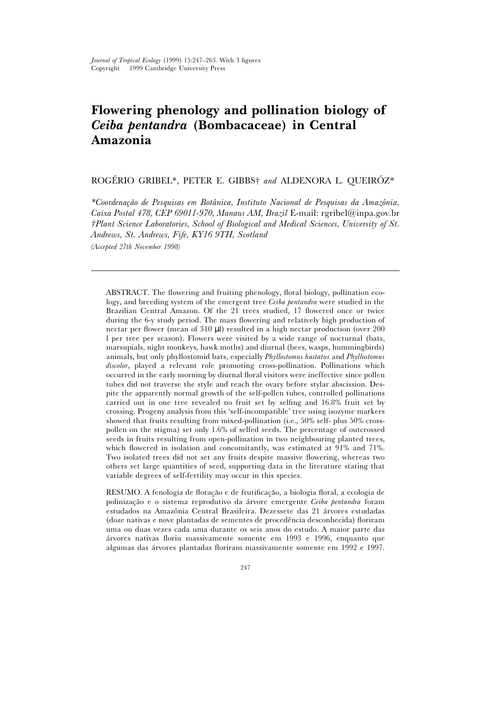# **Flowering phenology and pollination biology of** *Ceiba pentandra* **(Bombacaceae) in Central Amazonia**

ROGÉRIO GRIBEL\*, PETER E. GIBBS<sup>†</sup> and ALDENORA L. QUEIRÓZ\*

*\*Coordenac¸˜ao de Pesquisas em Botaˆnica, Instituto Nacional de Pesquisas da Amazoˆnia, Caixa Postal 478, CEP 69011-970, Manaus AM, Brazil* E-mail: rgribel@inpa.gov.br *†Plant Science Laboratories, School of Biological and Medical Sciences, University of St. Andrews, St. Andrews, Fife, KY16 9TH, Scotland*

*(Accepted 27th November 1998)*

ABSTRACT. The flowering and fruiting phenology, floral biology, pollination ecology, and breeding system of the emergent tree *Ceiba pentandra* were studied in the Brazilian Central Amazon. Of the 21 trees studied, 17 flowered once or twice during the 6-y study period. The mass flowering and relatively high production of nectar per flower (mean of 310 µl) resulted in a high nectar production (over 200 l per tree per season). Flowers were visited by a wide range of nocturnal (bats, marsupials, night monkeys, hawk moths) and diurnal (bees, wasps, hummingbirds) animals, but only phyllostomid bats, especially *Phyllostomus hastatus* and *Phyllostomus discolor*, played a relevant role promoting cross-pollination. Pollinations which occurred in the early morning by diurnal floral visitors were ineffective since pollen tubes did not traverse the style and reach the ovary before stylar abscission. Despite the apparently normal growth of the self-pollen tubes, controlled pollinations carried out in one tree revealed no fruit set by selfing and 16.8% fruit set by crossing. Progeny analysis from this 'self-incompatible' tree using isozyme markers showed that fruits resulting from mixed-pollination (i.e., 50% self- plus 50% crosspollen on the stigma) set only 1.6% of selfed seeds. The percentage of outcrossed seeds in fruits resulting from open-pollination in two neighbouring planted trees, which flowered in isolation and concomitantly, was estimated at 91% and 71%. Two isolated trees did not set any fruits despite massive flowering, whereas two others set large quantities of seed, supporting data in the literature stating that variable degrees of self-fertility may occur in this species.

RESUMO. A fenologia de floração e de frutificação, a biologia floral, a ecologia de polinizac¸˜ao e o sistema reprodutivo da a´rvore emergente *Ceiba pentandra* foram estudados na Amazônia Central Brasileira. Dezessete das 21 árvores estudadas (doze nativas e nove plantadas de sementes de procedeˆncia desconhecida) floriram uma ou duas vezes cada uma durante os seis anos do estudo. A maior parte das ´arvores nativas floriu massivamente somente em 1993 e 1996, enquanto que algumas das a´rvores plantadas floriram massivamente somente em 1992 e 1997.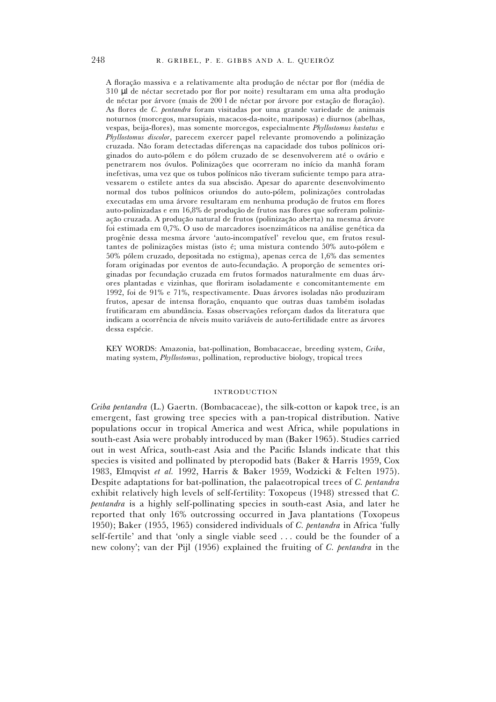A floração massiva e a relativamente alta produção de néctar por flor (média de  $310$  µl de néctar secretado por flor por noite) resultaram em uma alta producão de néctar por árvore (mais de 200 l de néctar por árvore por estacão de floracão). As flores de *C. pentandra* foram visitadas por uma grande variedade de animais noturnos (morcegos, marsupiais, macacos-da-noite, mariposas) e diurnos (abelhas, vespas, beija-flores), mas somente morcegos, especialmente *Phyllostomus hastatus* e *Phyllostomus discolor*, parecem exercer papel relevante promovendo a polinização cruzada. Não foram detectadas diferenças na capacidade dos tubos polínicos originados do auto-pólem e do pólem cruzado de se desenvolverem até o ovário e penetrarem nos óvulos. Polinizações que ocorreram no início da manhã foram inefetivas, uma vez que os tubos polínicos não tiveram suficiente tempo para atravessarem o estilete antes da sua abscisa˜o. Apesar do aparente desenvolvimento normal dos tubos polínicos oriundos do auto-pólem, polinizações controladas executadas em uma árvore resultaram em nenhuma produção de frutos em flores auto-polinizadas e em 16,8% de produção de frutos nas flores que sofreram polinização cruzada. A produção natural de frutos (polinização aberta) na mesma árvore foi estimada em 0,7%. O uso de marcadores isoenzima´ticos na ana´lise gene´tica da progênie dessa mesma árvore 'auto-incompatível' revelou que, em frutos resultantes de polinizações mistas (isto é; uma mistura contendo 50% auto-pólem e 50% po´lem cruzado, depositada no estigma), apenas cerca de 1,6% das sementes foram originadas por eventos de auto-fecundação. A proporção de sementes originadas por fecundação cruzada em frutos formados naturalmente em duas árvores plantadas e vizinhas, que floriram isoladamente e concomitantemente em 1992, foi de 91% e 71%, respectivamente. Duas árvores isoladas não produziram frutos, apesar de intensa floração, enquanto que outras duas também isoladas frutificaram em abundância. Essas observações reforçam dados da literatura que indicam a ocorrência de níveis muito variáveis de auto-fertilidade entre as árvores dessa espécie.

KEY WORDS: Amazonia, bat-pollination, Bombacaceae, breeding system, *Ceiba*, mating system, *Phyllostomus*, pollination, reproductive biology, tropical trees

## INTRODUCTION

*Ceiba pentandra* (L.) Gaertn. (Bombacaceae), the silk-cotton or kapok tree, is an emergent, fast growing tree species with a pan-tropical distribution. Native populations occur in tropical America and west Africa, while populations in south-east Asia were probably introduced by man (Baker 1965). Studies carried out in west Africa, south-east Asia and the Pacific Islands indicate that this species is visited and pollinated by pteropodid bats (Baker & Harris 1959, Cox 1983, Elmqvist *et al.* 1992, Harris & Baker 1959, Wodzicki & Felten 1975). Despite adaptations for bat-pollination, the palaeotropical trees of *C. pentandra* exhibit relatively high levels of self-fertility: Toxopeus (1948) stressed that *C. pentandra* is a highly self-pollinating species in south-east Asia, and later he reported that only 16% outcrossing occurred in Java plantations (Toxopeus 1950); Baker (1955, 1965) considered individuals of *C. pentandra* in Africa 'fully self-fertile' and that 'only a single viable seed . . . could be the founder of a new colony'; van der Pijl (1956) explained the fruiting of *C. pentandra* in the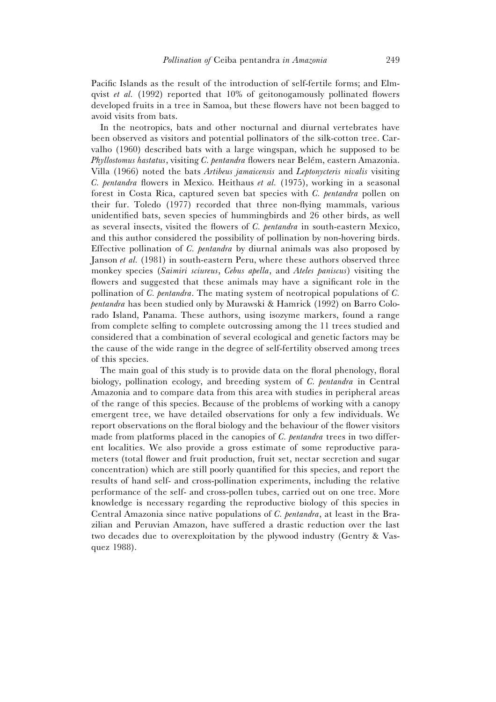Pacific Islands as the result of the introduction of self-fertile forms; and Elmqvist *et al.* (1992) reported that 10% of geitonogamously pollinated flowers developed fruits in a tree in Samoa, but these flowers have not been bagged to avoid visits from bats.

In the neotropics, bats and other nocturnal and diurnal vertebrates have been observed as visitors and potential pollinators of the silk-cotton tree. Carvalho (1960) described bats with a large wingspan, which he supposed to be *Phyllostomus hastatus*, visiting *C. pentandra* flowers near Belém, eastern Amazonia. Villa (1966) noted the bats *Artibeus jamaicensis* and *Leptonycteris nivalis* visiting *C. pentandra* flowers in Mexico. Heithaus *et al.* (1975), working in a seasonal forest in Costa Rica, captured seven bat species with *C. pentandra* pollen on their fur. Toledo (1977) recorded that three non-flying mammals, various unidentified bats, seven species of hummingbirds and 26 other birds, as well as several insects, visited the flowers of *C. pentandra* in south-eastern Mexico, and this author considered the possibility of pollination by non-hovering birds. Effective pollination of *C. pentandra* by diurnal animals was also proposed by Janson *et al.* (1981) in south-eastern Peru, where these authors observed three monkey species (*Saimiri sciureus*, *Cebus apella*, and *Ateles paniscus*) visiting the flowers and suggested that these animals may have a significant role in the pollination of *C. pentandra*. The mating system of neotropical populations of *C. pentandra* has been studied only by Murawski & Hamrick (1992) on Barro Colorado Island, Panama. These authors, using isozyme markers, found a range from complete selfing to complete outcrossing among the 11 trees studied and considered that a combination of several ecological and genetic factors may be the cause of the wide range in the degree of self-fertility observed among trees of this species.

The main goal of this study is to provide data on the floral phenology, floral biology, pollination ecology, and breeding system of *C. pentandra* in Central Amazonia and to compare data from this area with studies in peripheral areas of the range of this species. Because of the problems of working with a canopy emergent tree, we have detailed observations for only a few individuals. We report observations on the floral biology and the behaviour of the flower visitors made from platforms placed in the canopies of *C. pentandra* trees in two different localities. We also provide a gross estimate of some reproductive parameters (total flower and fruit production, fruit set, nectar secretion and sugar concentration) which are still poorly quantified for this species, and report the results of hand self- and cross-pollination experiments, including the relative performance of the self- and cross-pollen tubes, carried out on one tree. More knowledge is necessary regarding the reproductive biology of this species in Central Amazonia since native populations of *C. pentandra*, at least in the Brazilian and Peruvian Amazon, have suffered a drastic reduction over the last two decades due to overexploitation by the plywood industry (Gentry & Vasquez 1988).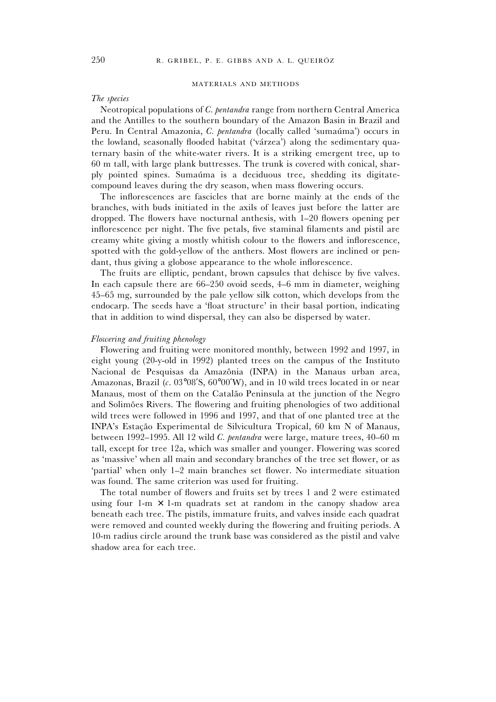## MATERIALS AND METHODS

## *The species*

Neotropical populations of *C. pentandra* range from northern Central America and the Antilles to the southern boundary of the Amazon Basin in Brazil and Peru. In Central Amazonia, *C. pentandra* (locally called 'sumaúma') occurs in the lowland, seasonally flooded habitat ('várzea') along the sedimentary quaternary basin of the white-water rivers. It is a striking emergent tree, up to 60 m tall, with large plank buttresses. The trunk is covered with conical, sharply pointed spines. Sumauma is a deciduous tree, shedding its digitatecompound leaves during the dry season, when mass flowering occurs.

The inflorescences are fascicles that are borne mainly at the ends of the branches, with buds initiated in the axils of leaves just before the latter are dropped. The flowers have nocturnal anthesis, with 1–20 flowers opening per inflorescence per night. The five petals, five staminal filaments and pistil are creamy white giving a mostly whitish colour to the flowers and inflorescence, spotted with the gold-yellow of the anthers. Most flowers are inclined or pendant, thus giving a globose appearance to the whole inflorescence.

The fruits are elliptic, pendant, brown capsules that dehisce by five valves. In each capsule there are 66–250 ovoid seeds, 4–6 mm in diameter, weighing 45–65 mg, surrounded by the pale yellow silk cotton, which develops from the endocarp. The seeds have a 'float structure' in their basal portion, indicating that in addition to wind dispersal, they can also be dispersed by water.

## *Flowering and fruiting phenology*

Flowering and fruiting were monitored monthly, between 1992 and 1997, in eight young (20-y-old in 1992) planted trees on the campus of the Instituto Nacional de Pesquisas da Amazônia (INPA) in the Manaus urban area, Amazonas, Brazil (*c*. 03°08′S, 60°00′W), and in 10 wild trees located in or near Manaus, most of them on the Catalão Peninsula at the junction of the Negro and Solimões Rivers. The flowering and fruiting phenologies of two additional wild trees were followed in 1996 and 1997, and that of one planted tree at the INPA's Estação Experimental de Silvicultura Tropical, 60 km N of Manaus, between 1992–1995. All 12 wild *C. pentandra* were large, mature trees, 40–60 m tall, except for tree 12a, which was smaller and younger. Flowering was scored as 'massive' when all main and secondary branches of the tree set flower, or as 'partial' when only 1–2 main branches set flower. No intermediate situation was found. The same criterion was used for fruiting.

The total number of flowers and fruits set by trees 1 and 2 were estimated using four 1-m  $\times$  1-m quadrats set at random in the canopy shadow area beneath each tree. The pistils, immature fruits, and valves inside each quadrat were removed and counted weekly during the flowering and fruiting periods. A 10-m radius circle around the trunk base was considered as the pistil and valve shadow area for each tree.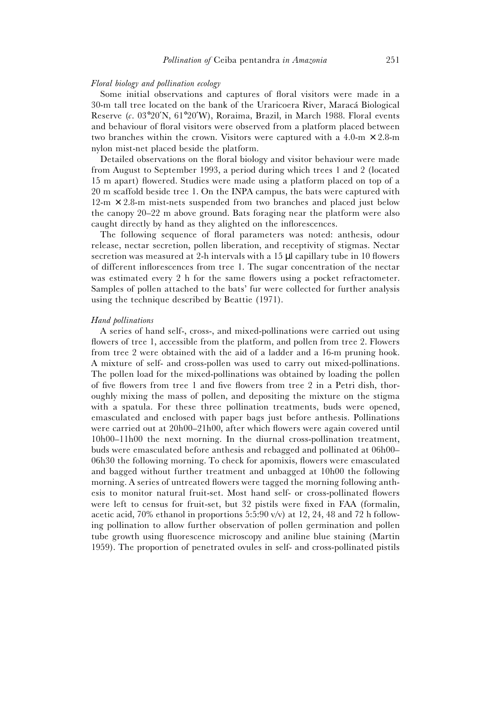#### *Floral biology and pollination ecology*

Some initial observations and captures of floral visitors were made in a 30-m tall tree located on the bank of the Uraricoera River, Maraca´ Biological Reserve (*c*. 03°20′N, 61°20′W), Roraima, Brazil, in March 1988. Floral events and behaviour of floral visitors were observed from a platform placed between two branches within the crown. Visitors were captured with a  $4.0\text{-m} \times 2.8\text{-m}$ nylon mist-net placed beside the platform.

Detailed observations on the floral biology and visitor behaviour were made from August to September 1993, a period during which trees 1 and 2 (located 15 m apart) flowered. Studies were made using a platform placed on top of a 20 m scaffold beside tree 1. On the INPA campus, the bats were captured with  $12-m \times 2.8$ -m mist-nets suspended from two branches and placed just below the canopy 20–22 m above ground. Bats foraging near the platform were also caught directly by hand as they alighted on the inflorescences.

The following sequence of floral parameters was noted: anthesis, odour release, nectar secretion, pollen liberation, and receptivity of stigmas. Nectar secretion was measured at 2-h intervals with a 15  $\mu$ l capillary tube in 10 flowers of different inflorescences from tree 1. The sugar concentration of the nectar was estimated every 2 h for the same flowers using a pocket refractometer. Samples of pollen attached to the bats' fur were collected for further analysis using the technique described by Beattie (1971).

## *Hand pollinations*

A series of hand self-, cross-, and mixed-pollinations were carried out using flowers of tree 1, accessible from the platform, and pollen from tree 2. Flowers from tree 2 were obtained with the aid of a ladder and a 16-m pruning hook. A mixture of self- and cross-pollen was used to carry out mixed-pollinations. The pollen load for the mixed-pollinations was obtained by loading the pollen of five flowers from tree 1 and five flowers from tree 2 in a Petri dish, thoroughly mixing the mass of pollen, and depositing the mixture on the stigma with a spatula. For these three pollination treatments, buds were opened, emasculated and enclosed with paper bags just before anthesis. Pollinations were carried out at 20h00–21h00, after which flowers were again covered until 10h00–11h00 the next morning. In the diurnal cross-pollination treatment, buds were emasculated before anthesis and rebagged and pollinated at 06h00– 06h30 the following morning. To check for apomixis, flowers were emasculated and bagged without further treatment and unbagged at 10h00 the following morning. A series of untreated flowers were tagged the morning following anthesis to monitor natural fruit-set. Most hand self- or cross-pollinated flowers were left to census for fruit-set, but 32 pistils were fixed in FAA (formalin, acetic acid, 70% ethanol in proportions 5:5:90 v/v) at 12, 24, 48 and 72 h following pollination to allow further observation of pollen germination and pollen tube growth using fluorescence microscopy and aniline blue staining (Martin 1959). The proportion of penetrated ovules in self- and cross-pollinated pistils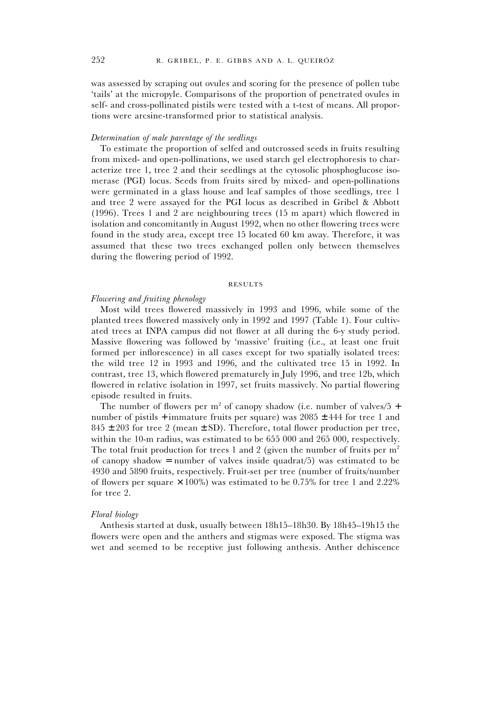was assessed by scraping out ovules and scoring for the presence of pollen tube 'tails' at the micropyle. Comparisons of the proportion of penetrated ovules in self- and cross-pollinated pistils were tested with a t-test of means. All proportions were arcsine-transformed prior to statistical analysis.

#### *Determination of male parentage of the seedlings*

To estimate the proportion of selfed and outcrossed seeds in fruits resulting from mixed- and open-pollinations, we used starch gel electrophoresis to characterize tree 1, tree 2 and their seedlings at the cytosolic phosphoglucose isomerase (PGI) locus. Seeds from fruits sired by mixed- and open-pollinations were germinated in a glass house and leaf samples of those seedlings, tree 1 and tree 2 were assayed for the PGI locus as described in Gribel & Abbott (1996). Trees 1 and 2 are neighbouring trees (15 m apart) which flowered in isolation and concomitantly in August 1992, when no other flowering trees were found in the study area, except tree 15 located 60 km away. Therefore, it was assumed that these two trees exchanged pollen only between themselves during the flowering period of 1992.

#### **RESULTS**

## *Flowering and fruiting phenology*

Most wild trees flowered massively in 1993 and 1996, while some of the planted trees flowered massively only in 1992 and 1997 (Table 1). Four cultivated trees at INPA campus did not flower at all during the 6-y study period. Massive flowering was followed by 'massive' fruiting (i.e., at least one fruit formed per inflorescence) in all cases except for two spatially isolated trees: the wild tree 12 in 1993 and 1996, and the cultivated tree 15 in 1992. In contrast, tree 13, which flowered prematurely in July 1996, and tree 12b, which flowered in relative isolation in 1997, set fruits massively. No partial flowering episode resulted in fruits.

The number of flowers per m<sup>2</sup> of canopy shadow (i.e. number of valves/5 + number of pistils + immature fruits per square) was 2085 ± 444 for tree 1 and  $845 \pm 203$  for tree 2 (mean  $\pm$  SD). Therefore, total flower production per tree, within the 10-m radius, was estimated to be 655 000 and 265 000, respectively. The total fruit production for trees 1 and 2 (given the number of fruits per  $m<sup>2</sup>$ of canopy shadow = number of valves inside quadrat/5) was estimated to be 4930 and 5890 fruits, respectively. Fruit-set per tree (number of fruits/number of flowers per square  $\times$  100%) was estimated to be 0.75% for tree 1 and 2.22% for tree 2.

## *Floral biology*

Anthesis started at dusk, usually between 18h15–18h30. By 18h45–19h15 the flowers were open and the anthers and stigmas were exposed. The stigma was wet and seemed to be receptive just following anthesis. Anther dehiscence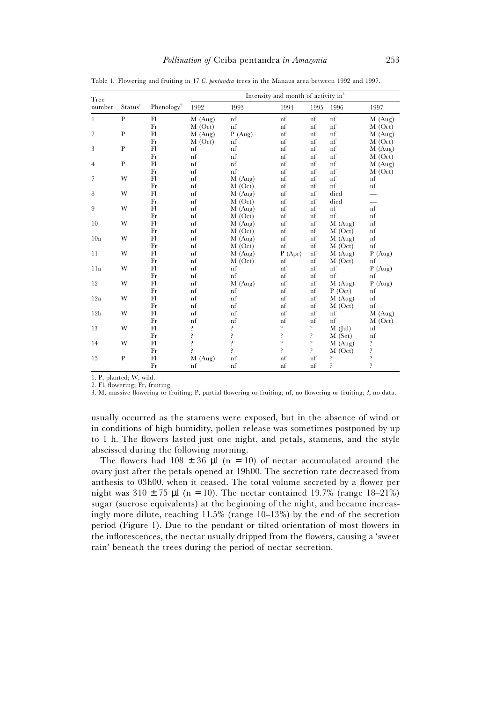| Tree            |                     |                        | Intensity and month of activity in <sup>3</sup> |                     |                     |                     |                     |                     |
|-----------------|---------------------|------------------------|-------------------------------------------------|---------------------|---------------------|---------------------|---------------------|---------------------|
| number          | Status <sup>1</sup> | Phenology <sup>2</sup> | 1992                                            | 1993                | 1994                | 1995                | 1996                | 1997                |
| 1               | $\mathbf{P}$        | F1                     | $M$ (Aug)                                       | $\operatorname{nf}$ | $\operatorname{nf}$ | $\operatorname{nf}$ | nf                  | $M$ (Aug)           |
|                 |                     | Fr                     | $M$ (Oct)                                       | nf                  | nf                  | $\operatorname{nf}$ | $\operatorname{nf}$ | $M$ (Oct)           |
| $\overline{2}$  | $\mathbf{P}$        | Fl                     | $M$ (Aug)                                       | $P$ (Aug)           | nf                  | nf                  | nf                  | $M$ (Aug)           |
|                 |                     | Fr                     | $M$ (Oct)                                       | nf                  | nf                  | nf                  | nf                  | $M$ (Oct)           |
| 3               | $\mathbf{P}$        | F1                     | $\inf$                                          | nf                  | $\operatorname{nf}$ | nf                  | nf                  | $M$ (Aug)           |
|                 |                     | Fr                     | nf                                              | nf                  | nf                  | nf                  | nf                  | $M$ (Oct)           |
| $\overline{4}$  | $\mathbf{P}$        | F1                     | nf                                              | nf                  | $\operatorname{nf}$ | nf                  | $\operatorname{nf}$ | $M$ (Aug)           |
|                 |                     | Fr                     | nf                                              | nf                  | nf                  | nf                  | nf                  | $M$ (Oct)           |
| 7               | W                   | Fl                     | nf                                              | $M$ (Aug)           | $\operatorname{nf}$ | $\operatorname{nf}$ | $\operatorname{nf}$ | nf                  |
|                 |                     | Fr                     | nf                                              | $M$ (Oct)           | nf                  | nf                  | nf                  | nf                  |
| 8               | W                   | F1                     | nf                                              | $M$ (Aug)           | $\operatorname{nf}$ | $\operatorname{nf}$ | died                |                     |
|                 |                     | Fr                     | nf                                              | $M$ (Oct)           | $\inf$              | nf                  | died                |                     |
| 9               | W                   | F1                     | nf                                              | $M$ (Aug)           | $\operatorname{nf}$ | nf                  | $\operatorname{nf}$ | $\inf$              |
|                 |                     | Fr                     | nf                                              | $M$ (Oct)           | $\inf$              | nf                  | $\inf$              | $\inf$              |
| 10              | W                   | Fl                     | nf                                              | $M$ (Aug)           | $\operatorname{nf}$ | $\operatorname{nf}$ | $M$ (Aug)           | nf                  |
|                 |                     | Fr                     | nf                                              | $M$ (Oct)           | $\operatorname{nf}$ | nf                  | $M$ (Oct)           | nf                  |
| 10a             | W                   | F1                     | nf                                              | $M$ (Aug)           | $\operatorname{nf}$ | $\operatorname{nf}$ | $M$ (Aug)           | nf                  |
|                 |                     | Fr                     | nf                                              | $M$ (Oct)           | $\operatorname{nf}$ | $\operatorname{nf}$ | $M$ (Oct)           | $\operatorname{nf}$ |
| 11              | W                   | F1                     | nf                                              | $M$ (Aug)           | P(Apr)              | nf                  | $M$ (Aug)           | $P$ (Aug)           |
|                 |                     | Fr                     | nf                                              | $M$ (Oct)           | nf                  | nf                  | $M$ (Oct)           | nf                  |
| 1 la            | W                   | F1                     | nf                                              | nf                  | nf                  | nf                  | nf                  | $P$ (Aug)           |
|                 |                     | Fr                     | nf                                              | nf                  | nf                  | $\operatorname{nf}$ | nf                  | nf                  |
| 12              | W                   | Fl                     | nf                                              | $M$ (Aug)           | $\operatorname{nf}$ | nf                  | $M$ (Aug)           | $P$ (Aug)           |
|                 |                     | Fr                     | nf                                              | nf                  | $\operatorname{nf}$ | $\operatorname{nf}$ | $P$ (Oct)           | nf                  |
| 12a             | W                   | F1                     | nf                                              | nf                  | $\operatorname{nf}$ | $\operatorname{nf}$ | $M$ (Aug)           | $\operatorname{nf}$ |
|                 |                     | Fr                     | nf                                              | nf                  | $\operatorname{nf}$ | $\operatorname{nf}$ | $M$ (Oct)           | $\operatorname{nf}$ |
| 12 <sub>b</sub> | W                   | F1                     | nf                                              | nf                  | $\operatorname{nf}$ | nf                  | nf                  | $M$ (Aug)           |
|                 |                     | Fr                     | $\operatorname{nf}$                             | $\operatorname{nf}$ | nf                  | nf                  | nf                  | $M$ (Oct)           |
| 13              | W                   | Fl                     | ċ.                                              | ę.                  | ċ.                  | ċ.                  | $M$ (Jul)           | nf                  |
|                 |                     | Fr                     | ç.                                              | ?                   | $\cdot$             | ò.                  | $M$ (Set)           | nf                  |
| 14              | W                   | F1                     | ċ.                                              | p.                  | ?                   | b.                  | $M$ (Aug)           | ç.                  |
|                 |                     | Fr                     | ς                                               | p                   | ę.                  | b.                  | $M$ (Oct)           |                     |
| 15              | P                   | F1                     | $M$ (Aug)                                       | nf                  | nf                  | nf                  | ċ.                  | c<br>S              |
|                 |                     | Fr                     | nf                                              | nf                  | nf                  | nf                  | p.                  | p                   |

Table 1. Flowering and fruiting in 17 *C. pentandra* trees in the Manaus area between 1992 and 1997.

1. P, planted; W, wild.

2. Fl, flowering; Fr, fruiting.

3. M, massive flowering or fruiting; P, partial flowering or fruiting; nf, no flowering or fruiting; ?, no data.

usually occurred as the stamens were exposed, but in the absence of wind or in conditions of high humidity, pollen release was sometimes postponed by up to 1 h. The flowers lasted just one night, and petals, stamens, and the style abscissed during the following morning.

The flowers had  $108 \pm 36$  µl (n = 10) of nectar accumulated around the ovary just after the petals opened at 19h00. The secretion rate decreased from anthesis to 03h00, when it ceased. The total volume secreted by a flower per night was  $310 \pm 75$  µl (n = 10). The nectar contained 19.7% (range 18–21%) sugar (sucrose equivalents) at the beginning of the night, and became increasingly more dilute, reaching 11.5% (range 10–13%) by the end of the secretion period (Figure 1). Due to the pendant or tilted orientation of most flowers in the inflorescences, the nectar usually dripped from the flowers, causing a 'sweet rain' beneath the trees during the period of nectar secretion.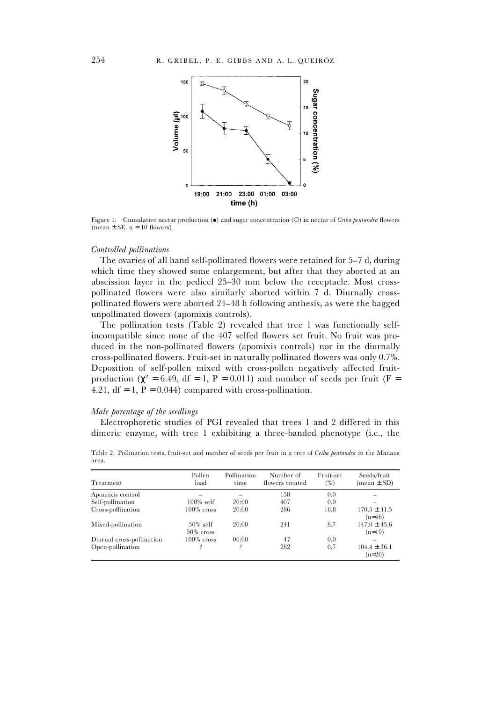

Figure 1. Cumulative nectar production  $\left( \bullet \right)$  and sugar concentration  $\left( \circ \right)$  in nectar of *Ceiba pentandra* flowers  $(mean \pm SE, n = 10$  flowers).

## *Controlled pollinations*

The ovaries of all hand self-pollinated flowers were retained for 5–7 d, during which time they showed some enlargement, but after that they aborted at an abscission layer in the pedicel 25–30 mm below the receptacle. Most crosspollinated flowers were also similarly aborted within 7 d. Diurnally crosspollinated flowers were aborted 24–48 h following anthesis, as were the bagged unpollinated flowers (apomixis controls).

The pollination tests (Table 2) revealed that tree 1 was functionally selfincompatible since none of the 407 selfed flowers set fruit. No fruit was produced in the non-pollinated flowers (apomixis controls) nor in the diurnally cross-pollinated flowers. Fruit-set in naturally pollinated flowers was only 0.7%. Deposition of self-pollen mixed with cross-pollen negatively affected fruitproduction ( $\chi^2$  = 6.49, df = 1, P = 0.011) and number of seeds per fruit (F = 4.21,  $df = 1$ ,  $P = 0.044$  compared with cross-pollination.

#### *Male parentage of the seedlings*

Electrophoretic studies of PGI revealed that trees 1 and 2 differed in this dimeric enzyme, with tree 1 exhibiting a three-banded phenotype (i.e., the

area. Pollen Pollination Number of Fruit-set Seeds/fruit Treatment load time flowers treated (%) (mean ± SD)

Table 2. Pollination tests, fruit-set and number of seeds per fruit in a tree of *Ceiba pentandra* in the Manaus

| Treatment                 | Pollen<br>load              | Pollination<br>time | Number of<br>flowers treated | Fruit-set<br>(%) | Seeds/fruit<br>(mean ± SD)   |
|---------------------------|-----------------------------|---------------------|------------------------------|------------------|------------------------------|
| Apomixis control          |                             |                     | 158                          | 0.0              |                              |
| Self-pollination          | $100\%$ self                | 20:00               | 407                          | 0.0              |                              |
| Cross-pollination         | $100\%$ cross               | 20:00               | 286                          | 16.8             | $170.5 \pm 41.5$<br>$(n=46)$ |
| Mixed-pollination         | $50\%$ self<br>$50\%$ cross | 20:00               | 241                          | 8.7              | $147.0 \pm 43.6$<br>$(n=19)$ |
| Diurnal cross-pollination | $100\%$ cross               | 06:00               | 47                           | 0.0              |                              |
| Open-pollination          |                             | ρ                   | 282                          | 0.7              | $104.4 \pm 36.1$<br>$(n=20)$ |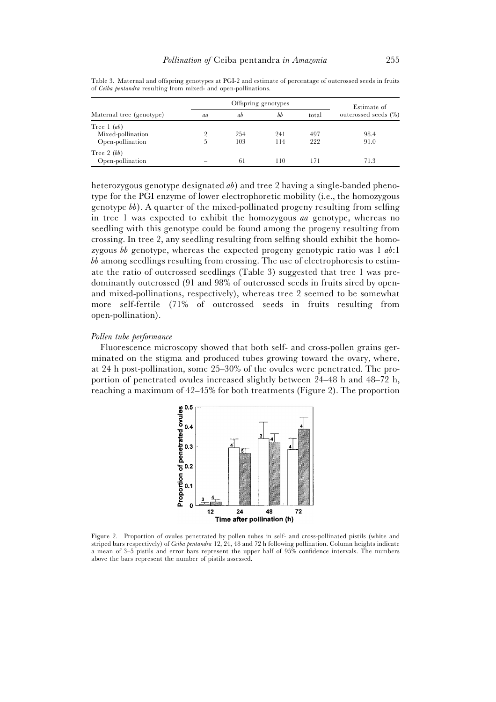|                          | Offspring genotypes |     |     |       | Estimate of          |  |
|--------------------------|---------------------|-----|-----|-------|----------------------|--|
| Maternal tree (genotype) | aa                  | ab  | bb  | total | outcrossed seeds (%) |  |
| Tree $1$ ( <i>ab</i> )   |                     |     |     |       |                      |  |
| Mixed-pollination        |                     | 254 | 241 | 497   | 98.4                 |  |
| Open-pollination         | C.                  | 103 | 114 | 222   | 91.0                 |  |
| Tree $2(bb)$             |                     |     |     |       |                      |  |
| Open-pollination         |                     | 61  | 110 | 171   | 71.3                 |  |

Table 3. Maternal and offspring genotypes at PGI-2 and estimate of percentage of outcrossed seeds in fruits of *Ceiba pentandra* resulting from mixed- and open-pollinations.

heterozygous genotype designated *ab*) and tree 2 having a single-banded phenotype for the PGI enzyme of lower electrophoretic mobility (i.e., the homozygous genotype *bb*). A quarter of the mixed-pollinated progeny resulting from selfing in tree 1 was expected to exhibit the homozygous *aa* genotype, whereas no seedling with this genotype could be found among the progeny resulting from crossing. In tree 2, any seedling resulting from selfing should exhibit the homozygous *bb* genotype, whereas the expected progeny genotypic ratio was 1 *ab*:1 *bb* among seedlings resulting from crossing. The use of electrophoresis to estimate the ratio of outcrossed seedlings (Table 3) suggested that tree 1 was predominantly outcrossed (91 and 98% of outcrossed seeds in fruits sired by openand mixed-pollinations, respectively), whereas tree 2 seemed to be somewhat more self-fertile (71% of outcrossed seeds in fruits resulting from open-pollination).

#### *Pollen tube performance*

Fluorescence microscopy showed that both self- and cross-pollen grains germinated on the stigma and produced tubes growing toward the ovary, where, at 24 h post-pollination, some 25–30% of the ovules were penetrated. The proportion of penetrated ovules increased slightly between 24–48 h and 48–72 h, reaching a maximum of 42–45% for both treatments (Figure 2). The proportion



Figure 2. Proportion of ovules penetrated by pollen tubes in self- and cross-pollinated pistils (white and striped bars respectively) of *Ceiba pentandra* 12, 24, 48 and 72 h following pollination. Column heights indicate a mean of 3–5 pistils and error bars represent the upper half of 95% confidence intervals. The numbers above the bars represent the number of pistils assessed.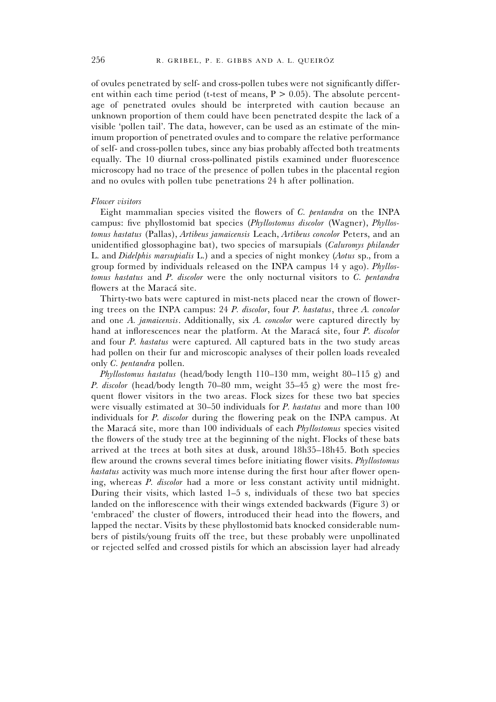of ovules penetrated by self- and cross-pollen tubes were not significantly different within each time period (t-test of means,  $P > 0.05$ ). The absolute percentage of penetrated ovules should be interpreted with caution because an unknown proportion of them could have been penetrated despite the lack of a visible 'pollen tail'. The data, however, can be used as an estimate of the minimum proportion of penetrated ovules and to compare the relative performance of self- and cross-pollen tubes, since any bias probably affected both treatments equally. The 10 diurnal cross-pollinated pistils examined under fluorescence microscopy had no trace of the presence of pollen tubes in the placental region and no ovules with pollen tube penetrations 24 h after pollination.

#### *Flower visitors*

Eight mammalian species visited the flowers of *C. pentandra* on the INPA campus: five phyllostomid bat species (*Phyllostomus discolor* (Wagner), *Phyllostomus hastatus* (Pallas), *Artibeus jamaicensis* Leach, *Artibeus concolor* Peters, and an unidentified glossophagine bat), two species of marsupials (*Caluromys philander* L. and *Didelphis marsupialis* L.) and a species of night monkey (*Aotus* sp., from a group formed by individuals released on the INPA campus 14 y ago). *Phyllostomus hastatus* and *P. discolor* were the only nocturnal visitors to *C. pentandra* flowers at the Maracá site.

Thirty-two bats were captured in mist-nets placed near the crown of flowering trees on the INPA campus: 24 *P. discolor*, four *P. hastatus*, three *A. concolor* and one *A. jamaicensis*. Additionally, six *A. concolor* were captured directly by hand at inflorescences near the platform. At the Maracá site, four *P. discolor* and four *P. hastatus* were captured. All captured bats in the two study areas had pollen on their fur and microscopic analyses of their pollen loads revealed only *C. pentandra* pollen.

*Phyllostomus hastatus* (head/body length 110–130 mm, weight 80–115 g) and *P. discolor* (head/body length 70–80 mm, weight 35–45 g) were the most frequent flower visitors in the two areas. Flock sizes for these two bat species were visually estimated at 30–50 individuals for *P. hastatus* and more than 100 individuals for *P. discolor* during the flowering peak on the INPA campus. At the Maraca´ site, more than 100 individuals of each *Phyllostomus* species visited the flowers of the study tree at the beginning of the night. Flocks of these bats arrived at the trees at both sites at dusk, around 18h35–18h45. Both species flew around the crowns several times before initiating flower visits. *Phyllostomus hastatus* activity was much more intense during the first hour after flower opening, whereas *P. discolor* had a more or less constant activity until midnight. During their visits, which lasted 1–5 s, individuals of these two bat species landed on the inflorescence with their wings extended backwards (Figure 3) or 'embraced' the cluster of flowers, introduced their head into the flowers, and lapped the nectar. Visits by these phyllostomid bats knocked considerable numbers of pistils/young fruits off the tree, but these probably were unpollinated or rejected selfed and crossed pistils for which an abscission layer had already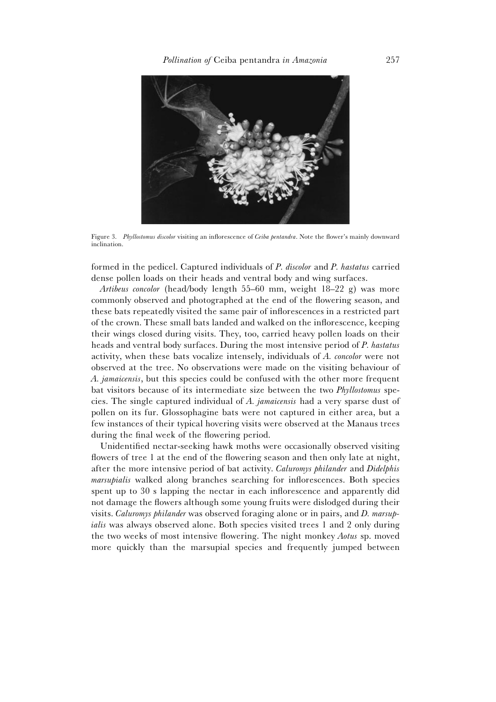

Figure 3. *Phyllostomus discolor* visiting an inflorescence of *Ceiba pentandra*. Note the flower's mainly downward inclination.

formed in the pedicel. Captured individuals of *P. discolor* and *P. hastatus* carried dense pollen loads on their heads and ventral body and wing surfaces.

*Artibeus concolor* (head/body length 55–60 mm, weight 18–22 g) was more commonly observed and photographed at the end of the flowering season, and these bats repeatedly visited the same pair of inflorescences in a restricted part of the crown. These small bats landed and walked on the inflorescence, keeping their wings closed during visits. They, too, carried heavy pollen loads on their heads and ventral body surfaces. During the most intensive period of *P. hastatus* activity, when these bats vocalize intensely, individuals of *A. concolor* were not observed at the tree. No observations were made on the visiting behaviour of *A. jamaicensis*, but this species could be confused with the other more frequent bat visitors because of its intermediate size between the two *Phyllostomus* species. The single captured individual of *A. jamaicensis* had a very sparse dust of pollen on its fur. Glossophagine bats were not captured in either area, but a few instances of their typical hovering visits were observed at the Manaus trees during the final week of the flowering period.

Unidentified nectar-seeking hawk moths were occasionally observed visiting flowers of tree 1 at the end of the flowering season and then only late at night, after the more intensive period of bat activity. *Caluromys philander* and *Didelphis marsupialis* walked along branches searching for inflorescences. Both species spent up to 30 s lapping the nectar in each inflorescence and apparently did not damage the flowers although some young fruits were dislodged during their visits. *Caluromys philander* was observed foraging alone or in pairs, and *D. marsupialis* was always observed alone. Both species visited trees 1 and 2 only during the two weeks of most intensive flowering. The night monkey *Aotus* sp. moved more quickly than the marsupial species and frequently jumped between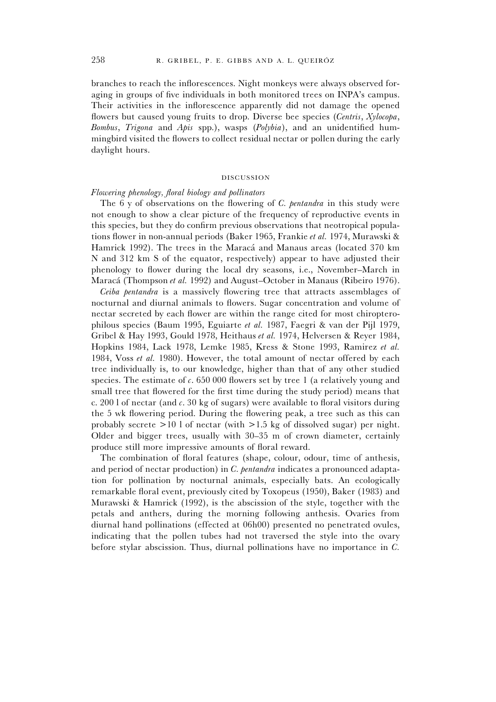branches to reach the inflorescences. Night monkeys were always observed foraging in groups of five individuals in both monitored trees on INPA's campus. Their activities in the inflorescence apparently did not damage the opened flowers but caused young fruits to drop. Diverse bee species (*Centris*, *Xylocopa*, *Bombus*, *Trigona* and *Apis* spp.), wasps (*Polybia*), and an unidentified hummingbird visited the flowers to collect residual nectar or pollen during the early daylight hours.

## DISCUSSION

## *Flowering phenology, floral biology and pollinators*

The 6 y of observations on the flowering of *C. pentandra* in this study were not enough to show a clear picture of the frequency of reproductive events in this species, but they do confirm previous observations that neotropical populations flower in non-annual periods (Baker 1965, Frankie *et al.* 1974, Murawski & Hamrick 1992). The trees in the Maracá and Manaus areas (located 370 km N and 312 km S of the equator, respectively) appear to have adjusted their phenology to flower during the local dry seasons, i.e., November–March in Maraca´ (Thompson *et al.* 1992) and August–October in Manaus (Ribeiro 1976).

*Ceiba pentandra* is a massively flowering tree that attracts assemblages of nocturnal and diurnal animals to flowers. Sugar concentration and volume of nectar secreted by each flower are within the range cited for most chiropterophilous species (Baum 1995, Eguiarte *et al.* 1987, Faegri & van der Pijl 1979, Gribel & Hay 1993, Gould 1978, Heithaus *et al.* 1974, Helversen & Reyer 1984, Hopkins 1984, Lack 1978, Lemke 1985, Kress & Stone 1993, Ramirez *et al.* 1984, Voss *et al.* 1980). However, the total amount of nectar offered by each tree individually is, to our knowledge, higher than that of any other studied species. The estimate of *c*. 650 000 flowers set by tree 1 (a relatively young and small tree that flowered for the first time during the study period) means that c. 200 l of nectar (and *c*. 30 kg of sugars) were available to floral visitors during the 5 wk flowering period. During the flowering peak, a tree such as this can probably secrete  $>10$  l of nectar (with  $>1.5$  kg of dissolved sugar) per night. Older and bigger trees, usually with 30–35 m of crown diameter, certainly produce still more impressive amounts of floral reward.

The combination of floral features (shape, colour, odour, time of anthesis, and period of nectar production) in *C. pentandra* indicates a pronounced adaptation for pollination by nocturnal animals, especially bats. An ecologically remarkable floral event, previously cited by Toxopeus (1950), Baker (1983) and Murawski & Hamrick (1992), is the abscission of the style, together with the petals and anthers, during the morning following anthesis. Ovaries from diurnal hand pollinations (effected at 06h00) presented no penetrated ovules, indicating that the pollen tubes had not traversed the style into the ovary before stylar abscission. Thus, diurnal pollinations have no importance in *C.*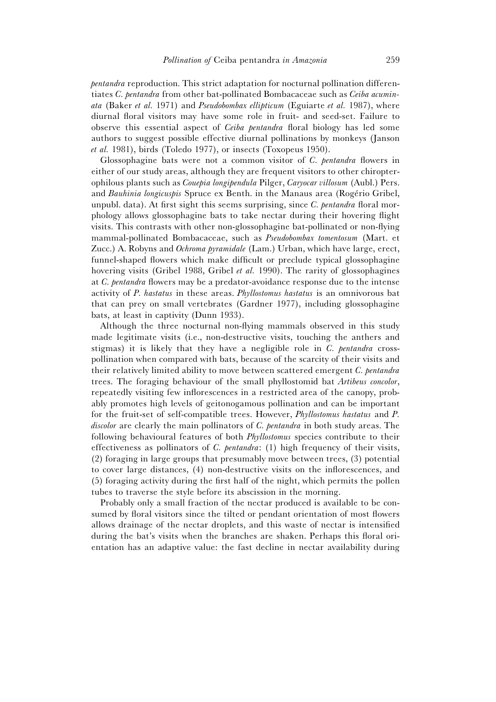*pentandra* reproduction. This strict adaptation for nocturnal pollination differentiates *C. pentandra* from other bat-pollinated Bombacaceae such as *Ceiba acuminata* (Baker *et al.* 1971) and *Pseudobombax ellipticum* (Eguiarte *et al.* 1987), where diurnal floral visitors may have some role in fruit- and seed-set. Failure to observe this essential aspect of *Ceiba pentandra* floral biology has led some authors to suggest possible effective diurnal pollinations by monkeys (Janson *et al.* 1981), birds (Toledo 1977), or insects (Toxopeus 1950).

Glossophagine bats were not a common visitor of *C. pentandra* flowers in either of our study areas, although they are frequent visitors to other chiropterophilous plants such as *Couepia longipendula* Pilger, *Caryocar villosum* (Aubl.) Pers. and *Bauhinia longicuspis* Spruce ex Benth. in the Manaus area (Rogério Gribel, unpubl. data). At first sight this seems surprising, since *C. pentandra* floral morphology allows glossophagine bats to take nectar during their hovering flight visits. This contrasts with other non-glossophagine bat-pollinated or non-flying mammal-pollinated Bombacaceae, such as *Pseudobombax tomentosum* (Mart. et Zucc.) A. Robyns and *Ochroma pyramidale* (Lam.) Urban, which have large, erect, funnel-shaped flowers which make difficult or preclude typical glossophagine hovering visits (Gribel 1988, Gribel *et al.* 1990). The rarity of glossophagines at *C. pentandra* flowers may be a predator-avoidance response due to the intense activity of *P. hastatus* in these areas. *Phyllostomus hastatus* is an omnivorous bat that can prey on small vertebrates (Gardner 1977), including glossophagine bats, at least in captivity (Dunn 1933).

Although the three nocturnal non-flying mammals observed in this study made legitimate visits (i.e., non-destructive visits, touching the anthers and stigmas) it is likely that they have a negligible role in *C. pentandra* crosspollination when compared with bats, because of the scarcity of their visits and their relatively limited ability to move between scattered emergent *C. pentandra* trees. The foraging behaviour of the small phyllostomid bat *Artibeus concolor*, repeatedly visiting few inflorescences in a restricted area of the canopy, probably promotes high levels of geitonogamous pollination and can be important for the fruit-set of self-compatible trees. However, *Phyllostomus hastatus* and *P. discolor* are clearly the main pollinators of *C. pentandra* in both study areas. The following behavioural features of both *Phyllostomus* species contribute to their effectiveness as pollinators of *C. pentandra*: (1) high frequency of their visits, (2) foraging in large groups that presumably move between trees, (3) potential to cover large distances, (4) non-destructive visits on the inflorescences, and (5) foraging activity during the first half of the night, which permits the pollen tubes to traverse the style before its abscission in the morning.

Probably only a small fraction of the nectar produced is available to be consumed by floral visitors since the tilted or pendant orientation of most flowers allows drainage of the nectar droplets, and this waste of nectar is intensified during the bat's visits when the branches are shaken. Perhaps this floral orientation has an adaptive value: the fast decline in nectar availability during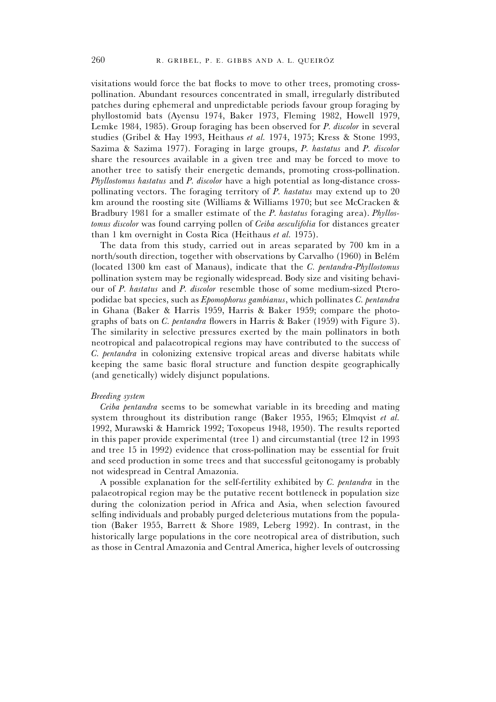visitations would force the bat flocks to move to other trees, promoting crosspollination. Abundant resources concentrated in small, irregularly distributed patches during ephemeral and unpredictable periods favour group foraging by phyllostomid bats (Ayensu 1974, Baker 1973, Fleming 1982, Howell 1979, Lemke 1984, 1985). Group foraging has been observed for *P. discolor* in several studies (Gribel & Hay 1993, Heithaus *et al.* 1974, 1975; Kress & Stone 1993, Sazima & Sazima 1977). Foraging in large groups, *P. hastatus* and *P. discolor* share the resources available in a given tree and may be forced to move to another tree to satisfy their energetic demands, promoting cross-pollination. *Phyllostomus hastatus* and *P. discolor* have a high potential as long-distance crosspollinating vectors. The foraging territory of *P. hastatus* may extend up to 20 km around the roosting site (Williams & Williams 1970; but see McCracken & Bradbury 1981 for a smaller estimate of the *P. hastatus* foraging area). *Phyllostomus discolor* was found carrying pollen of *Ceiba aesculifolia* for distances greater than 1 km overnight in Costa Rica (Heithaus *et al.* 1975).

The data from this study, carried out in areas separated by 700 km in a north/south direction, together with observations by Carvalho (1960) in Belém (located 1300 km east of Manaus), indicate that the *C. pentandra*-*Phyllostomus* pollination system may be regionally widespread. Body size and visiting behaviour of *P. hastatus* and *P. discolor* resemble those of some medium-sized Pteropodidae bat species, such as *Epomophorus gambianus*, which pollinates *C. pentandra* in Ghana (Baker & Harris 1959, Harris & Baker 1959; compare the photographs of bats on *C. pentandra* flowers in Harris & Baker (1959) with Figure 3). The similarity in selective pressures exerted by the main pollinators in both neotropical and palaeotropical regions may have contributed to the success of *C. pentandra* in colonizing extensive tropical areas and diverse habitats while keeping the same basic floral structure and function despite geographically (and genetically) widely disjunct populations.

## *Breeding system*

*Ceiba pentandra* seems to be somewhat variable in its breeding and mating system throughout its distribution range (Baker 1955, 1965; Elmqvist *et al.* 1992, Murawski & Hamrick 1992; Toxopeus 1948, 1950). The results reported in this paper provide experimental (tree 1) and circumstantial (tree 12 in 1993 and tree 15 in 1992) evidence that cross-pollination may be essential for fruit and seed production in some trees and that successful geitonogamy is probably not widespread in Central Amazonia.

A possible explanation for the self-fertility exhibited by *C. pentandra* in the palaeotropical region may be the putative recent bottleneck in population size during the colonization period in Africa and Asia, when selection favoured selfing individuals and probably purged deleterious mutations from the population (Baker 1955, Barrett & Shore 1989, Leberg 1992). In contrast, in the historically large populations in the core neotropical area of distribution, such as those in Central Amazonia and Central America, higher levels of outcrossing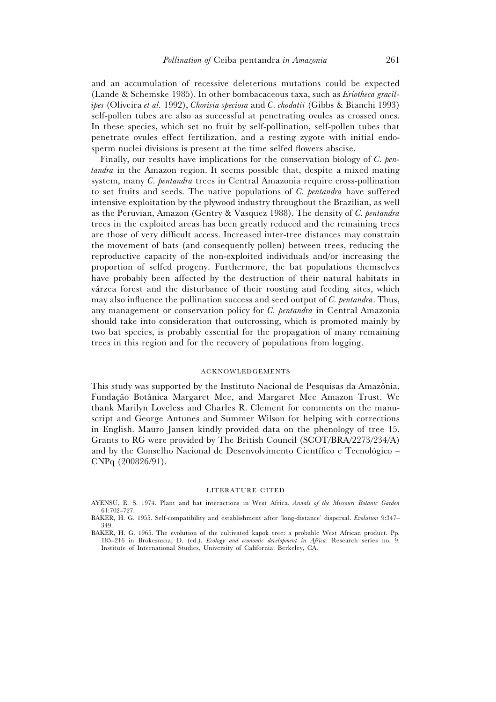and an accumulation of recessive deleterious mutations could be expected (Lande & Schemske 1985). In other bombacaceous taxa, such as *Eriotheca gracilipes* (Oliveira *et al.* 1992), *Chorisia speciosa* and *C. chodatii* (Gibbs & Bianchi 1993) self-pollen tubes are also as successful at penetrating ovules as crossed ones. In these species, which set no fruit by self-pollination, self-pollen tubes that penetrate ovules effect fertilization, and a resting zygote with initial endosperm nuclei divisions is present at the time selfed flowers abscise.

Finally, our results have implications for the conservation biology of *C. pentandra* in the Amazon region. It seems possible that, despite a mixed mating system, many *C. pentandra* trees in Central Amazonia require cross-pollination to set fruits and seeds. The native populations of *C. pentandra* have suffered intensive exploitation by the plywood industry throughout the Brazilian, as well as the Peruvian, Amazon (Gentry & Vasquez 1988). The density of *C. pentandra* trees in the exploited areas has been greatly reduced and the remaining trees are those of very difficult access. Increased inter-tree distances may constrain the movement of bats (and consequently pollen) between trees, reducing the reproductive capacity of the non-exploited individuals and/or increasing the proportion of selfed progeny. Furthermore, the bat populations themselves have probably been affected by the destruction of their natural habitats in várzea forest and the disturbance of their roosting and feeding sites, which may also influence the pollination success and seed output of *C. pentandra*. Thus, any management or conservation policy for *C. pentandra* in Central Amazonia should take into consideration that outcrossing, which is promoted mainly by two bat species, is probably essential for the propagation of many remaining trees in this region and for the recovery of populations from logging.

#### ACKNOWLEDGEMENTS

This study was supported by the Instituto Nacional de Pesquisas da Amazônia, Fundação Botânica Margaret Mee, and Margaret Mee Amazon Trust. We thank Marilyn Loveless and Charles R. Clement for comments on the manuscript and George Antunes and Summer Wilson for helping with corrections in English. Mauro Jansen kindly provided data on the phenology of tree 15. Grants to RG were provided by The British Council (SCOT/BRA/2273/234/A) and by the Conselho Nacional de Desenvolvimento Científico e Tecnológico – CNPq (200826/91).

#### LITERATURE CITED

AYENSU, E. S. 1974. Plant and bat interactions in West Africa. *Annals of the Missouri Botanic Garden*  $61.702 - 727$ 

BAKER, H. G. 1955. Self-compatibility and establishment after 'long-distance' dispersal. *Evolution* 9:347– 349.

BAKER, H. G. 1965. The evolution of the cultivated kapok tree: a probable West African product. Pp. 185–216 in Brokesnsha, D. (ed.). *Ecology and economic development in Africa*. Research series no. 9. Institute of International Studies, University of California. Berkeley, CA.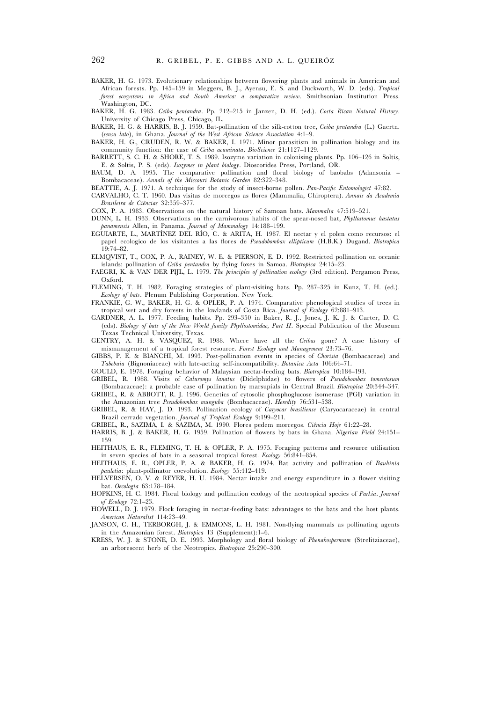- BAKER, H. G. 1973. Evolutionary relationships between flowering plants and animals in American and African forests. Pp. 145–159 in Meggers, B. J., Ayensu, E. S. and Duckworth, W. D. (eds). *Tropical forest ecosystems in Africa and South America: a comparative review*. Smithsonian Institution Press. Washington, DC.
- BAKER, H. G. 1983. *Ceiba pentandra*. Pp. 212–215 in Janzen, D. H. (ed.). *Costa Rican Natural History*. University of Chicago Press, Chicago, IL.

BAKER, H. G. & HARRIS, B. J. 1959. Bat-pollination of the silk-cotton tree, *Ceiba pentandra* (L.) Gaertn. (*sensu lato*), in Ghana. *Journal of the West African Science Association* 4:1–9.

BAKER, H. G., CRUDEN, R. W. & BAKER, I. 1971. Minor parasitism in pollination biology and its community function: the case of *Ceiba acuminata*. *BioScience* 21:1127–1129.

BARRETT, S. C. H. & SHORE, T. S. 1989. Isozyme variation in colonising plants. Pp. 106–126 in Soltis, E. & Soltis, P. S. (eds). *Isozymes in plant biology*. Dioscorides Press, Portland, OR.

BAUM, D. A. 1995. The comparative pollination and floral biology of baobabs (Adansonia – Bombacaceae). *Annals of the Missouri Botanic Garden* 82:322–348.

BEATTIE, A. J. 1971. A technique for the study of insect-borne pollen. *Pan-Pacific Entomologist* 47:82.

CARVALHO, C. T. 1960. Das visitas de morcegos as flores (Mammalia, Chiroptera). *Annais da Academia Brasileira de Cieˆncias* 32:359–377.

COX, P. A. 1983. Observations on the natural history of Samoan bats. *Mammalia* 47:519–521.

DUNN, L. H. 1933. Observations on the carnivorous habits of the spear-nosed bat, *Phyllostomus hastatus panamensis* Allen, in Panama. *Journal of Mammalogy* 14:188–199.

EGUIARTE, L., MARTÍNEZ DEL RÍO, C. & ARITA, H. 1987. El nectar y el polen como recursos: el papel ecologico de los visitantes a las flores de *Pseudobombax ellipticum* (H.B.K.) Dugand. *Biotropica* 19:74–82.

ELMQVIST, T., COX, P. A., RAINEY, W. E. & PIERSON, E. D. 1992. Restricted pollination on oceanic islands: pollination of *Ceiba pentandra* by flying foxes in Samoa. *Biotropica* 24:15–23.

- FAEGRI, K. & VAN DER PIJL, L. 1979. *The principles of pollination ecology* (3rd edition). Pergamon Press, Oxford.
- FLEMING, T. H. 1982. Foraging strategies of plant-visiting bats. Pp. 287–325 in Kunz, T. H. (ed.). *Ecology of bats*. Plenum Publishing Corporation. New York.

FRANKIE, G. W., BAKER, H. G. & OPLER, P. A. 1974. Comparative phenological studies of trees in tropical wet and dry forests in the lowlands of Costa Rica. *Journal of Ecology* 62:881–913.

GARDNER, A. L. 1977. Feeding habits. Pp. 293–350 in Baker, R. J., Jones, J. K. J. & Carter, D. C. (eds). *Biology of bats of the New World family Phyllostomidae, Part II*. Special Publication of the Museum Texas Technical University, Texas.

GENTRY, A. H. & VASQUEZ, R. 1988. Where have all the *Ceibas* gone? A case history of mismanagement of a tropical forest resource. *Forest Ecology and Management* 23:73–76.

GIBBS, P. E. & BIANCHI, M. 1993. Post-pollination events in species of *Chorisia* (Bombacaceae) and *Tabebuia* (Bignoniaceae) with late-acting self-incompatibility. *Botanica Acta* 106:64–71.

GOULD, E. 1978. Foraging behavior of Malaysian nectar-feeding bats. *Biotropica* 10:184–193.

GRIBEL, R. 1988. Visits of *Caluromys lanatus* (Didelphidae) to flowers of *Pseudobombax tomentosum* (Bombacaceae): a probable case of pollination by marsupials in Central Brazil. *Biotropica* 20:344–347.

GRIBEL, R. & ABBOTT, R. J. 1996. Genetics of cytosolic phosphoglucose isomerase (PGI) variation in the Amazonian tree *Pseudobombax munguba* (Bombacaceae). *Heredity* 76:531–538.

GRIBEL, R. & HAY, J. D. 1993. Pollination ecology of *Caryocar brasiliense* (Caryocaraceae) in central Brazil cerrado vegetation. *Journal of Tropical Ecology* 9:199–211.

GRIBEL, R., SAZIMA, I. & SAZIMA, M. 1990. Flores pedem morcegos. *Ciência Hoje* 61:22–28.

HARRIS, B. J. & BAKER, H. G. 1959. Pollination of flowers by bats in Ghana. *Nigerian Field* 24:151– 159.

HEITHAUS, E. R., FLEMING, T. H. & OPLER, P. A. 1975. Foraging patterns and resource utilisation in seven species of bats in a seasonal tropical forest. *Ecology* 56:841–854.

HEITHAUS, E. R., OPLER, P. A. & BAKER, H. G. 1974. Bat activity and pollination of *Bauhinia pauletia*: plant-pollinator coevolution. *Ecology* 55:412–419.

HELVERSEN, O. V. & REYER, H. U. 1984. Nectar intake and energy expenditure in a flower visiting bat. *Oecologia* 63:178–184.

HOPKINS, H. C. 1984. Floral biology and pollination ecology of the neotropical species of *Parkia*. *Journal of Ecology* 72:1–23.

HOWELL, D. J. 1979. Flock foraging in nectar-feeding bats: advantages to the bats and the host plants. *American Naturalist* 114:23–49.

JANSON, C. H., TERBORGH, J. & EMMONS, L. H. 1981. Non-flying mammals as pollinating agents in the Amazonian forest. *Biotropica* 13 (Supplement):1–6.

KRESS, W. J. & STONE, D. E. 1993. Morphology and floral biology of *Phenakospermum* (Strelitziaceae), an arborescent herb of the Neotropics. *Biotropica* 25:290–300.